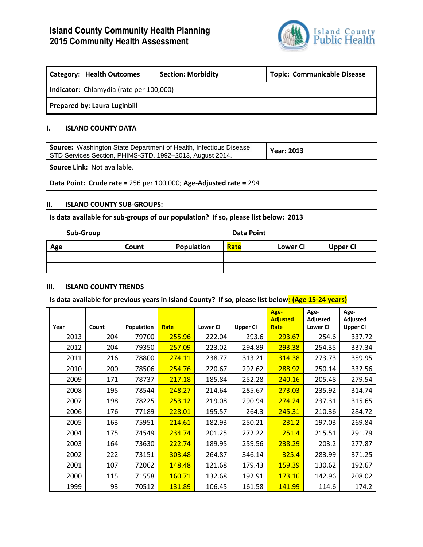# **Island County Community Health Planning 2015 Community Health Assessment**



| <b>Category: Health Outcomes</b>        | <b>Section: Morbidity</b> | <b>Topic: Communicable Disease</b> |  |  |  |
|-----------------------------------------|---------------------------|------------------------------------|--|--|--|
| Indicator: Chlamydia (rate per 100,000) |                           |                                    |  |  |  |
| <b>Prepared by: Laura Luginbill</b>     |                           |                                    |  |  |  |

## **I. ISLAND COUNTY DATA**

| <b>Source:</b> Washington State Department of Health, Infectious Disease,<br>STD Services Section, PHIMS-STD, 1992-2013, August 2014. | <b>Year: 2013</b> |  |  |
|---------------------------------------------------------------------------------------------------------------------------------------|-------------------|--|--|
| <b>Source Link: Not available.</b>                                                                                                    |                   |  |  |
| Data Point: Crude rate = 256 per 100,000; Age-Adjusted rate = 294                                                                     |                   |  |  |

#### **II. ISLAND COUNTY SUB-GROUPS:**

| Is data available for sub-groups of our population? If so, please list below: 2013 |            |            |      |          |          |
|------------------------------------------------------------------------------------|------------|------------|------|----------|----------|
| Sub-Group                                                                          | Data Point |            |      |          |          |
| Age                                                                                | Count      | Population | Rate | Lower CI | Upper CI |
|                                                                                    |            |            |      |          |          |
|                                                                                    |            |            |      |          |          |

#### **III. ISLAND COUNTY TRENDS**

| Is data available for previous years in Island County? If so, please list below: (Age 15-24 years) |       |            |               |                 |                 |                                 |                                     |                                     |
|----------------------------------------------------------------------------------------------------|-------|------------|---------------|-----------------|-----------------|---------------------------------|-------------------------------------|-------------------------------------|
| Year                                                                                               | Count | Population | Rate          | <b>Lower CI</b> | <b>Upper CI</b> | Age-<br><b>Adjusted</b><br>Rate | Age-<br>Adjusted<br><b>Lower CI</b> | Age-<br>Adjusted<br><b>Upper CI</b> |
| 2013                                                                                               | 204   | 79700      | 255.96        | 222.04          | 293.6           | 293.67                          | 254.6                               | 337.72                              |
| 2012                                                                                               | 204   | 79350      | 257.09        | 223.02          | 294.89          | 293.38                          | 254.35                              | 337.34                              |
| 2011                                                                                               | 216   | 78800      | 274.11        | 238.77          | 313.21          | 314.38                          | 273.73                              | 359.95                              |
| 2010                                                                                               | 200   | 78506      | 254.76        | 220.67          | 292.62          | 288.92                          | 250.14                              | 332.56                              |
| 2009                                                                                               | 171   | 78737      | 217.18        | 185.84          | 252.28          | 240.16                          | 205.48                              | 279.54                              |
| 2008                                                                                               | 195   | 78544      | 248.27        | 214.64          | 285.67          | 273.03                          | 235.92                              | 314.74                              |
| 2007                                                                                               | 198   | 78225      | 253.12        | 219.08          | 290.94          | 274.24                          | 237.31                              | 315.65                              |
| 2006                                                                                               | 176   | 77189      | <b>228.01</b> | 195.57          | 264.3           | 245.31                          | 210.36                              | 284.72                              |
| 2005                                                                                               | 163   | 75951      | 214.61        | 182.93          | 250.21          | 231.2                           | 197.03                              | 269.84                              |
| 2004                                                                                               | 175   | 74549      | 234.74        | 201.25          | 272.22          | 251.4                           | 215.51                              | 291.79                              |
| 2003                                                                                               | 164   | 73630      | 222.74        | 189.95          | 259.56          | 238.29                          | 203.2                               | 277.87                              |
| 2002                                                                                               | 222   | 73151      | 303.48        | 264.87          | 346.14          | 325.4                           | 283.99                              | 371.25                              |
| 2001                                                                                               | 107   | 72062      | 148.48        | 121.68          | 179.43          | 159.39                          | 130.62                              | 192.67                              |
| 2000                                                                                               | 115   | 71558      | 160.71        | 132.68          | 192.91          | <b>173.16</b>                   | 142.96                              | 208.02                              |
| 1999                                                                                               | 93    | 70512      | 131.89        | 106.45          | 161.58          | 141.99                          | 114.6                               | 174.2                               |